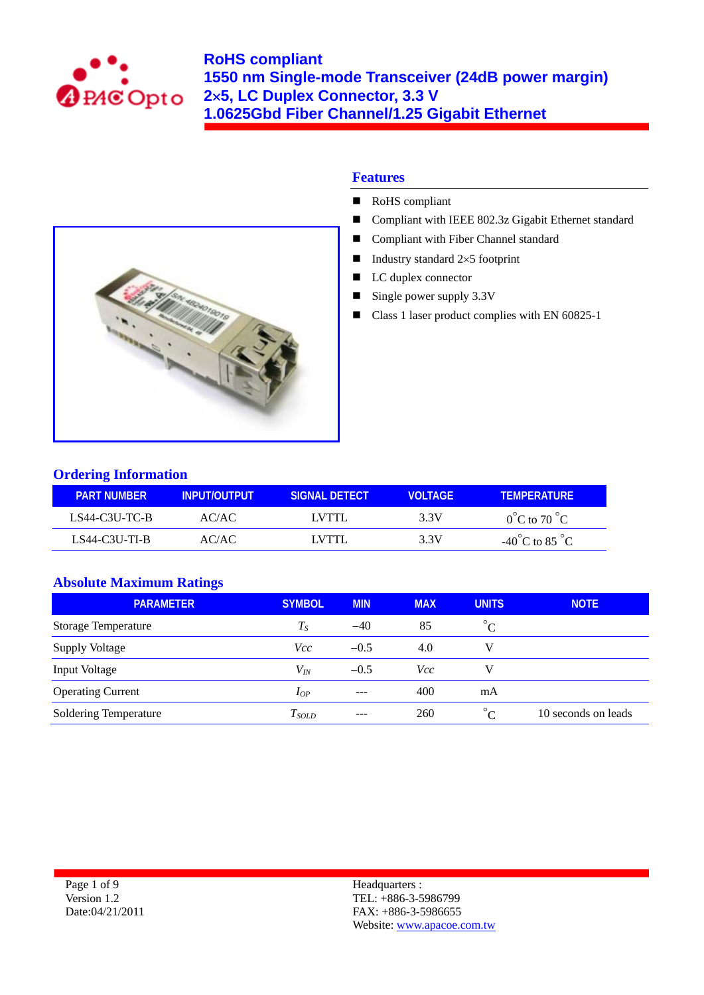



- RoHS compliant
- **Compliant with IEEE 802.3z Gigabit Ethernet standard**
- Compliant with Fiber Channel standard
- Industry standard  $2\times 5$  footprint
- LC duplex connector
- $\blacksquare$  Single power supply 3.3V
- Class 1 laser product complies with EN 60825-1



## **Ordering Information**

| LPART NUMBER !  | LINPUT/OUTPUT | ISIGNAL DETECT! | <b>VOLTAGE</b> | <b>TEMPERATURE</b>                 |
|-----------------|---------------|-----------------|----------------|------------------------------------|
| LS44-C3U-TC-B   | AC/AC         | LVTTL           | 3.3V           | $0^{\circ}$ C to 70 $^{\circ}$ C   |
| $LS44-C3U-TI-B$ | AC/AC         | LVTTI.          | 3.3V           | $-40^{\circ}$ C to 85 $^{\circ}$ C |

## **Absolute Maximum Ratings**

| <b>PARAMETER</b>           | <b>SYMBOL</b> | <b>MIN</b> | <b>MAX</b> | <b>UNITS</b> | <b>NOTE</b>         |
|----------------------------|---------------|------------|------------|--------------|---------------------|
| <b>Storage Temperature</b> | $T_S$         | $-40$      | 85         | $^{\circ}C$  |                     |
| <b>Supply Voltage</b>      | <i>Vcc</i>    | $-0.5$     | 4.0        |              |                     |
| <b>Input Voltage</b>       | $V_{I\!N}$    | $-0.5$     | Vcc        |              |                     |
| <b>Operating Current</b>   | $I_{OP}$      | $- - -$    | 400        | mA           |                     |
| Soldering Temperature      | $T_{SOLD}$    | ---        | 260        | $\circ$      | 10 seconds on leads |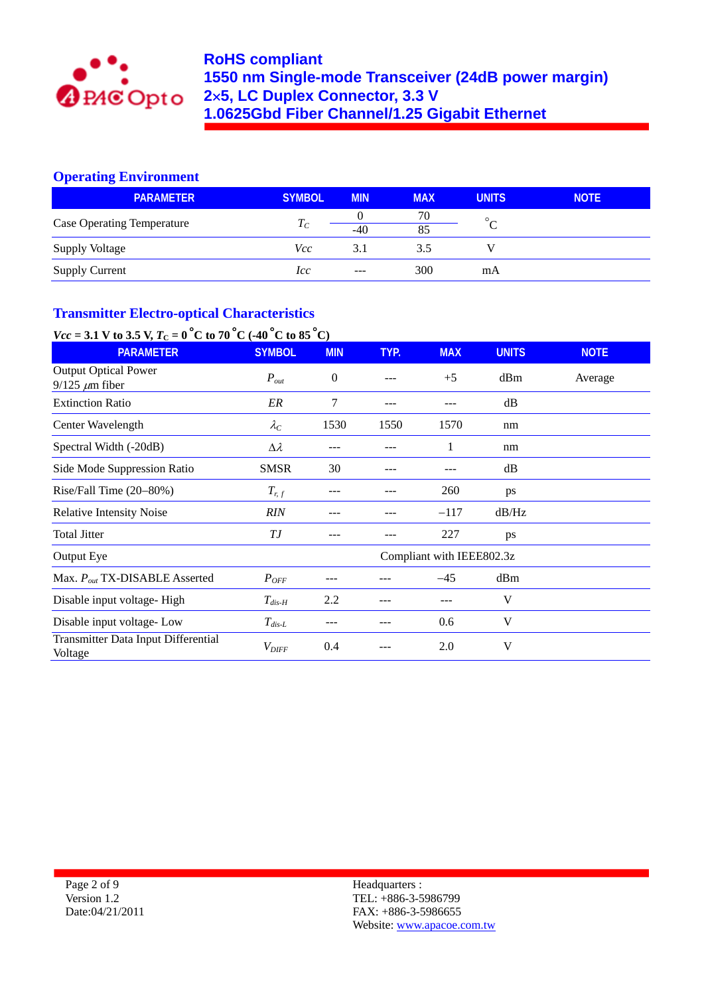

## **Operating Environment**

| <b>PARAMETER</b>                  | <b>SYMBOL</b> | <b>MIN</b> | <b>MAX</b> | <b>UNITS</b> | <b>NOTE</b> |
|-----------------------------------|---------------|------------|------------|--------------|-------------|
|                                   |               |            | 70         | $\circ$      |             |
| <b>Case Operating Temperature</b> | $T_C$         | $-40$      | 85         |              |             |
| <b>Supply Voltage</b>             | Vcc           | 3.1        | 3.5        |              |             |
| <b>Supply Current</b>             | lcc           | $- - -$    | 300        | mA           |             |

# **Transmitter Electro-optical Characteristics**

# *Vcc* = 3.1 V to 3.5 V,  $T_c = 0^\circ$ C to 70 °C (-40 °C to 85 °C)

| <b>PARAMETER</b>                                      | <b>SYMBOL</b>       | <b>MIN</b>       | TYP. | <b>MAX</b>                | <b>UNITS</b> | <b>NOTE</b> |
|-------------------------------------------------------|---------------------|------------------|------|---------------------------|--------------|-------------|
| <b>Output Optical Power</b><br>$9/125 \ \mu m$ fiber  | $P_{out}$           | $\boldsymbol{0}$ |      | $+5$                      | dBm          | Average     |
| <b>Extinction Ratio</b>                               | ER                  | 7                | ---  |                           | dB           |             |
| Center Wavelength                                     | $\lambda_C$         | 1530             | 1550 | 1570                      | nm           |             |
| Spectral Width (-20dB)                                | $\Delta \lambda$    | ---              |      | 1                         | nm           |             |
| Side Mode Suppression Ratio                           | <b>SMSR</b>         | 30               |      |                           | dB           |             |
| Rise/Fall Time (20-80%)                               | $T_{r,f}$           |                  |      | 260                       | ps           |             |
| <b>Relative Intensity Noise</b>                       | RIN                 |                  |      | $-117$                    | dB/Hz        |             |
| <b>Total Jitter</b>                                   | T J                 |                  |      | 227                       | ps           |             |
| Output Eye                                            |                     |                  |      | Compliant with IEEE802.3z |              |             |
| Max. $P_{out}$ TX-DISABLE Asserted                    | $P_{OFF}$           |                  |      | $-45$                     | dBm          |             |
| Disable input voltage-High                            | $T_{dis-H}$         | 2.2              |      |                           | V            |             |
| Disable input voltage-Low                             | $T_{dis-L}$         |                  |      | 0.6                       | V            |             |
| <b>Transmitter Data Input Differential</b><br>Voltage | $V_{\mathit{DIFF}}$ | 0.4              |      | 2.0                       | V            |             |

Page 2 of 9 Version 1.2 Date:04/21/2011 Headquarters : TEL: +886-3-5986799 FAX: +886-3-5986655 Website: www.apacoe.com.tw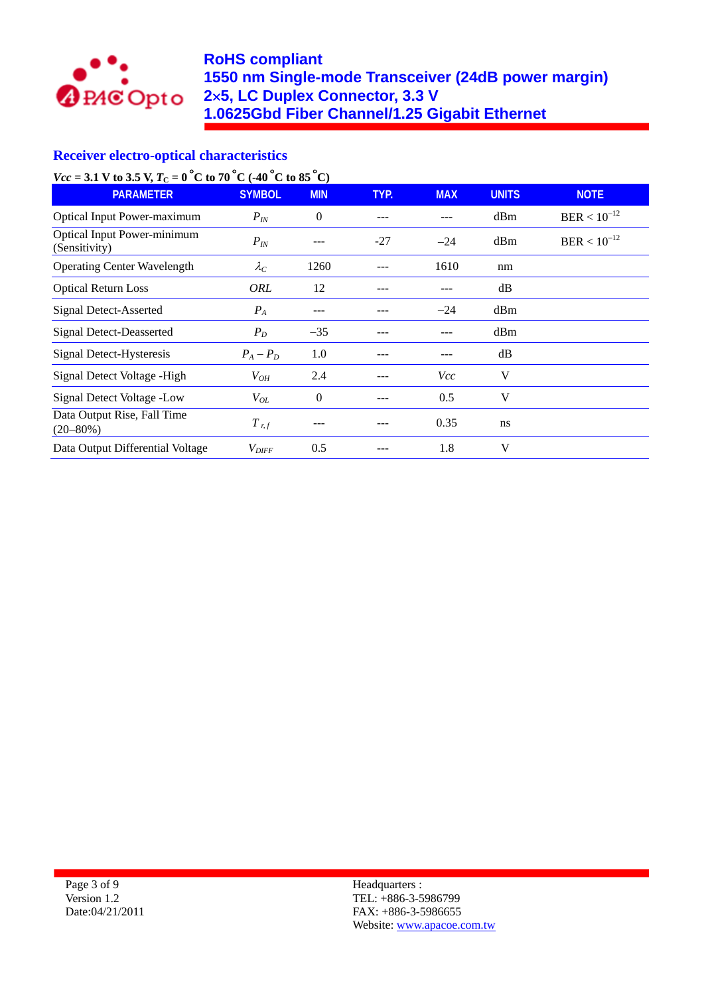

## **Receiver electro-optical characteristics**

*Vcc* = 3.1 V to 3.5 V,  $T_c = 0^\circ \text{C}$  to 70  $^{\circ} \text{C}$  (-40  $^{\circ} \text{C}$  to 85  $^{\circ} \text{C}$ )

| <b>PARAMETER</b>                                    | <b>SYMBOL</b>       | <b>MIN</b> | TYP.  | <b>MAX</b> | <b>UNITS</b> | <b>NOTE</b>      |
|-----------------------------------------------------|---------------------|------------|-------|------------|--------------|------------------|
| <b>Optical Input Power-maximum</b>                  | $P_{IN}$            | $\theta$   |       |            | dBm          | $BER < 10^{-12}$ |
| <b>Optical Input Power-minimum</b><br>(Sensitivity) | $P_{IN}$            | ---        | $-27$ | $-24$      | dBm          | $BER < 10^{-12}$ |
| <b>Operating Center Wavelength</b>                  | $\lambda_C$         | 1260       |       | 1610       | nm           |                  |
| <b>Optical Return Loss</b>                          | <b>ORL</b>          | 12         |       |            | dB           |                  |
| Signal Detect-Asserted                              | $P_A$               |            |       | $-24$      | dBm          |                  |
| <b>Signal Detect-Deasserted</b>                     | $P_D$               | $-35$      |       |            | dBm          |                  |
| Signal Detect-Hysteresis                            | $P_A - P_D$         | 1.0        |       |            | dB           |                  |
| Signal Detect Voltage - High                        | $V_{OH}$            | 2.4        |       | Vcc        | V            |                  |
| Signal Detect Voltage -Low                          | $V_{OL}$            | 0          |       | 0.5        | V            |                  |
| Data Output Rise, Fall Time<br>$(20 - 80\%)$        | $T_{r,f}$           |            |       | 0.35       | ns           |                  |
| Data Output Differential Voltage                    | $V_{\mathit{DIFF}}$ | 0.5        |       | 1.8        | V            |                  |

Page 3 of 9 Version 1.2 Date:04/21/2011 Headquarters : TEL: +886-3-5986799 FAX: +886-3-5986655 Website: www.apacoe.com.tw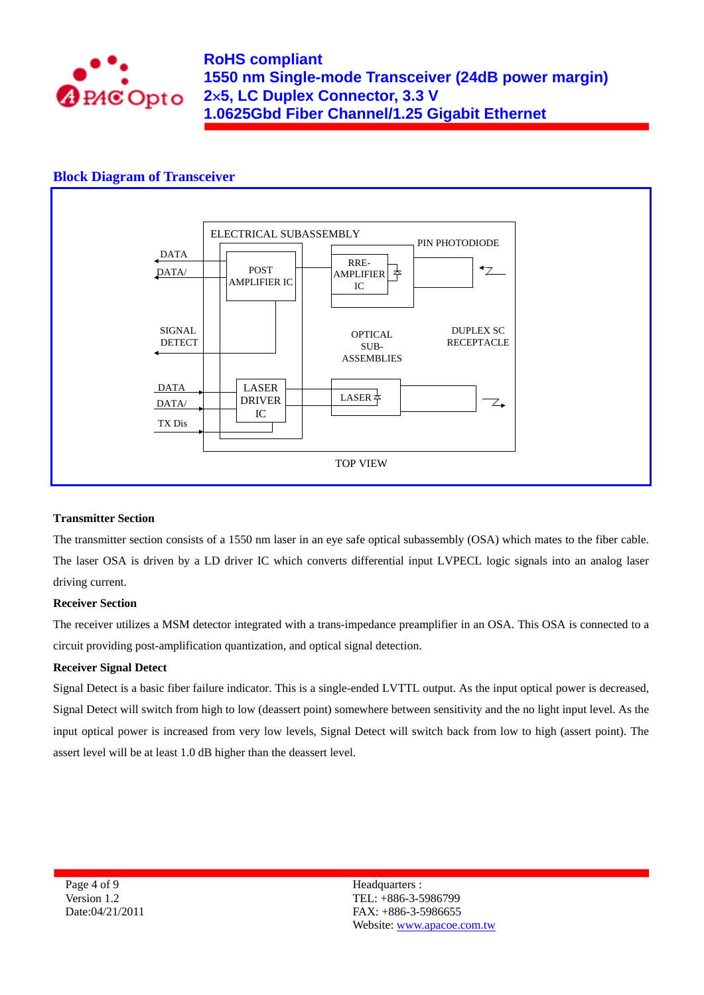

### **Block Diagram of Transceiver**



#### **Transmitter Section**

The transmitter section consists of a 1550 nm laser in an eye safe optical subassembly (OSA) which mates to the fiber cable. The laser OSA is driven by a LD driver IC which converts differential input LVPECL logic signals into an analog laser driving current.

#### **Receiver Section**

The receiver utilizes a MSM detector integrated with a trans-impedance preamplifier in an OSA. This OSA is connected to a circuit providing post-amplification quantization, and optical signal detection.

#### **Receiver Signal Detect**

Signal Detect is a basic fiber failure indicator. This is a single-ended LVTTL output. As the input optical power is decreased, Signal Detect will switch from high to low (deassert point) somewhere between sensitivity and the no light input level. As the input optical power is increased from very low levels, Signal Detect will switch back from low to high (assert point). The assert level will be at least 1.0 dB higher than the deassert level.

Page 4 of 9 Version 1.2 Date:04/21/2011 Headquarters : TEL: +886-3-5986799 FAX: +886-3-5986655 Website: www.apacoe.com.tw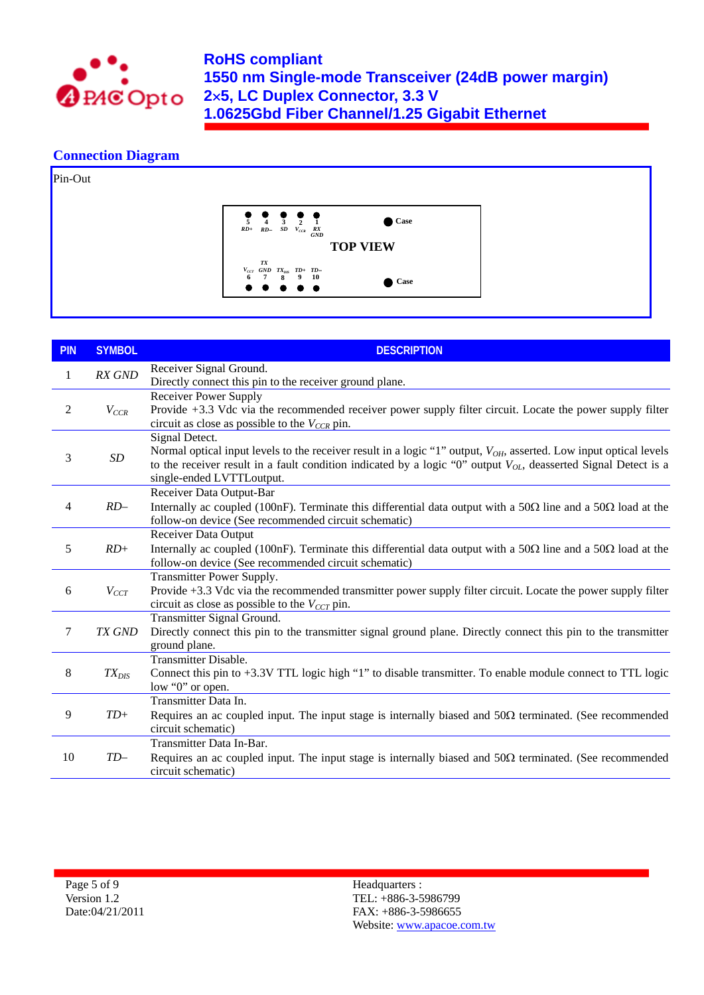

### **Connection Diagram**



| <b>PIN</b>     | <b>SYMBOL</b> | <b>DESCRIPTION</b>                                                                                                                                                                                                                                                                             |
|----------------|---------------|------------------------------------------------------------------------------------------------------------------------------------------------------------------------------------------------------------------------------------------------------------------------------------------------|
| 1              | RX GND        | Receiver Signal Ground.<br>Directly connect this pin to the receiver ground plane.                                                                                                                                                                                                             |
| 2              | $V_{CCR}$     | Receiver Power Supply<br>Provide +3.3 Vdc via the recommended receiver power supply filter circuit. Locate the power supply filter<br>circuit as close as possible to the $V_{CCR}$ pin.                                                                                                       |
| 3              | $\cal SD$     | Signal Detect.<br>Normal optical input levels to the receiver result in a logic "1" output, $V_{OH}$ , asserted. Low input optical levels<br>to the receiver result in a fault condition indicated by a logic "0" output $V_{OL}$ , deasserted Signal Detect is a<br>single-ended LVTTLoutput. |
| $\overline{4}$ | $RD-$         | Receiver Data Output-Bar<br>Internally ac coupled (100nF). Terminate this differential data output with a 50 $\Omega$ line and a 50 $\Omega$ load at the<br>follow-on device (See recommended circuit schematic)                                                                               |
| 5              | $RD+$         | <b>Receiver Data Output</b><br>Internally ac coupled (100nF). Terminate this differential data output with a 50 $\Omega$ line and a 50 $\Omega$ load at the<br>follow-on device (See recommended circuit schematic)                                                                            |
| 6              | $V_{CCT}$     | Transmitter Power Supply.<br>Provide +3.3 Vdc via the recommended transmitter power supply filter circuit. Locate the power supply filter<br>circuit as close as possible to the $V_{CCT}$ pin.                                                                                                |
| $\tau$         | TX GND        | Transmitter Signal Ground.<br>Directly connect this pin to the transmitter signal ground plane. Directly connect this pin to the transmitter<br>ground plane.                                                                                                                                  |
| 8              | $TX_{DIS}$    | Transmitter Disable.<br>Connect this pin to +3.3V TTL logic high "1" to disable transmitter. To enable module connect to TTL logic<br>low "0" or open.                                                                                                                                         |
| 9              | $TD+$         | Transmitter Data In.<br>Requires an ac coupled input. The input stage is internally biased and $50\Omega$ terminated. (See recommended<br>circuit schematic)                                                                                                                                   |
| 10             | $TD-$         | Transmitter Data In-Bar.<br>Requires an ac coupled input. The input stage is internally biased and $50\Omega$ terminated. (See recommended<br>circuit schematic)                                                                                                                               |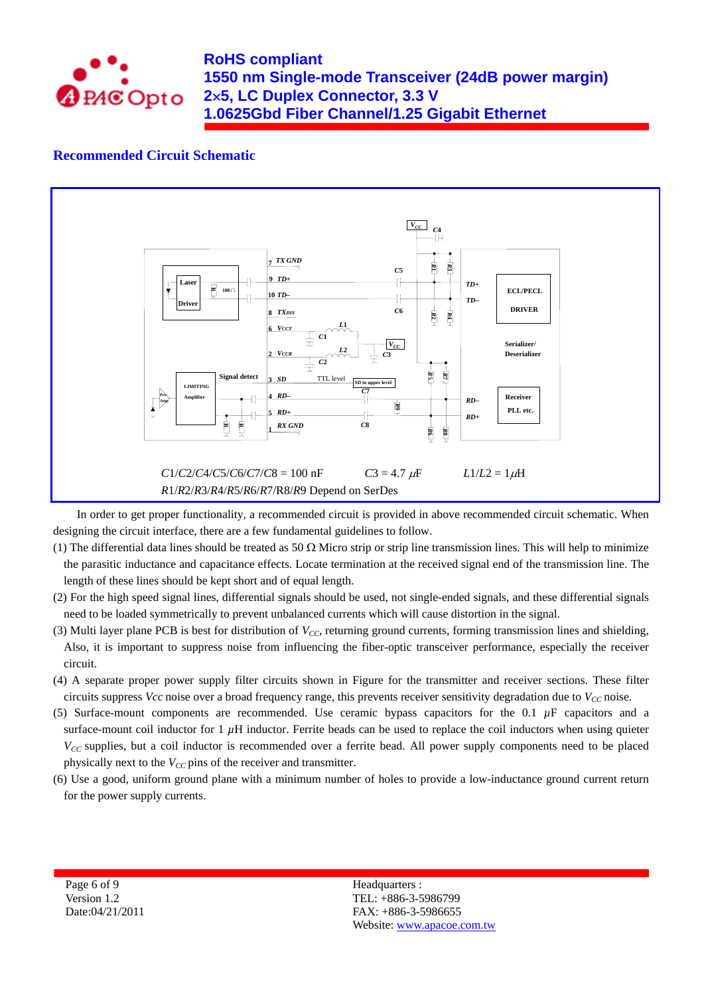

### **Recommended Circuit Schematic**



In order to get proper functionality, a recommended circuit is provided in above recommended circuit schematic. When designing the circuit interface, there are a few fundamental guidelines to follow.

- (1) The differential data lines should be treated as 50  $\Omega$  Micro strip or strip line transmission lines. This will help to minimize the parasitic inductance and capacitance effects. Locate termination at the received signal end of the transmission line. The length of these lines should be kept short and of equal length.
- (2) For the high speed signal lines, differential signals should be used, not single-ended signals, and these differential signals need to be loaded symmetrically to prevent unbalanced currents which will cause distortion in the signal.
- (3) Multi layer plane PCB is best for distribution of *VCC*, returning ground currents, forming transmission lines and shielding, Also, it is important to suppress noise from influencing the fiber-optic transceiver performance, especially the receiver circuit.
- (4) A separate proper power supply filter circuits shown in Figure for the transmitter and receiver sections. These filter circuits suppress *Vcc* noise over a broad frequency range, this prevents receiver sensitivity degradation due to  $V_{CC}$  noise.
- (5) Surface-mount components are recommended. Use ceramic bypass capacitors for the  $0.1 \mu$ F capacitors and a surface-mount coil inductor for  $1 \mu$ H inductor. Ferrite beads can be used to replace the coil inductors when using quieter *V<sub>CC</sub>* supplies, but a coil inductor is recommended over a ferrite bead. All power supply components need to be placed physically next to the  $V_{CC}$  pins of the receiver and transmitter.
- (6) Use a good, uniform ground plane with a minimum number of holes to provide a low-inductance ground current return for the power supply currents.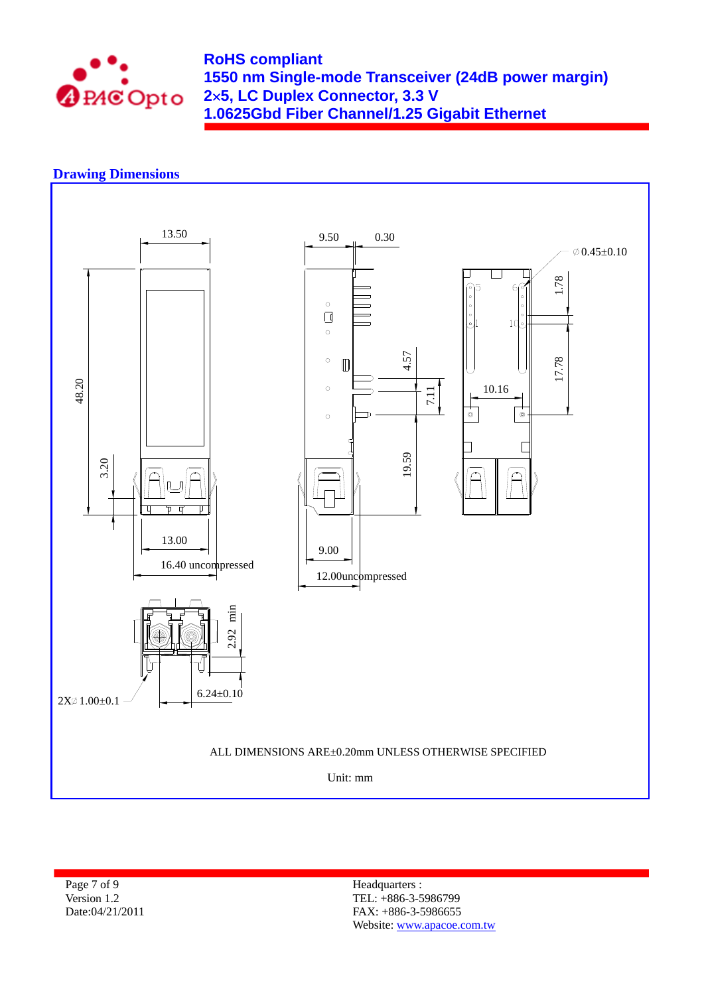

### **Drawing Dimensions**



Page 7 of 9 Version 1.2 Date:04/21/2011 Headquarters : TEL: +886-3-5986799 FAX: +886-3-5986655 Website: www.apacoe.com.tw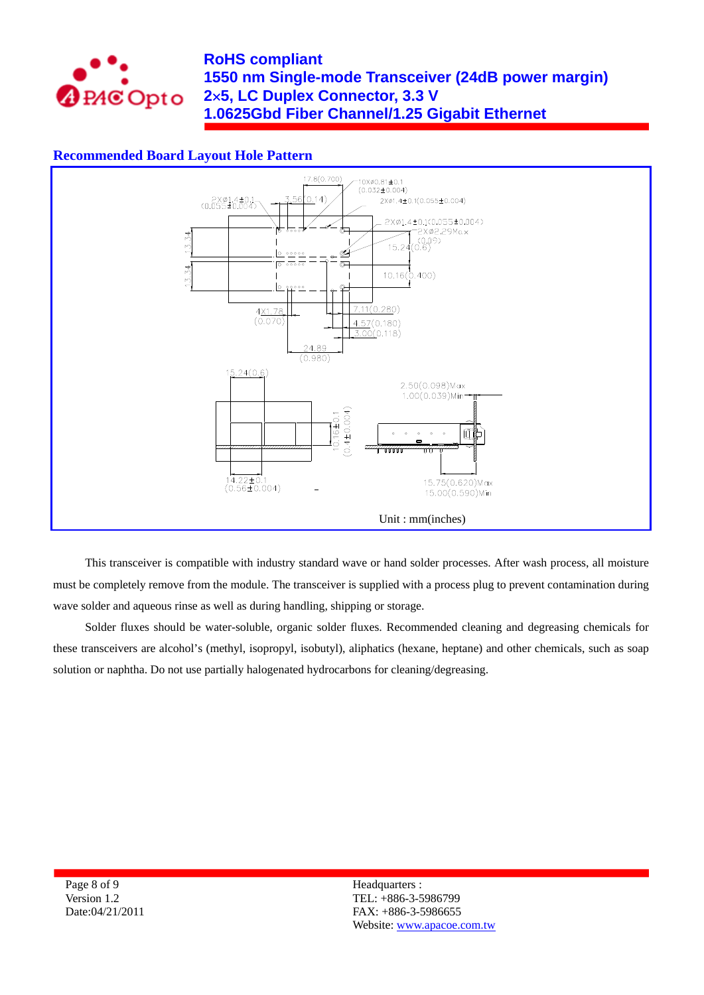

## **Recommended Board Layout Hole Pattern**



This transceiver is compatible with industry standard wave or hand solder processes. After wash process, all moisture must be completely remove from the module. The transceiver is supplied with a process plug to prevent contamination during wave solder and aqueous rinse as well as during handling, shipping or storage.

Solder fluxes should be water-soluble, organic solder fluxes. Recommended cleaning and degreasing chemicals for these transceivers are alcohol's (methyl, isopropyl, isobutyl), aliphatics (hexane, heptane) and other chemicals, such as soap solution or naphtha. Do not use partially halogenated hydrocarbons for cleaning/degreasing.

Page 8 of 9 Version 1.2 Date:04/21/2011 Headquarters : TEL: +886-3-5986799 FAX: +886-3-5986655 Website: www.apacoe.com.tw